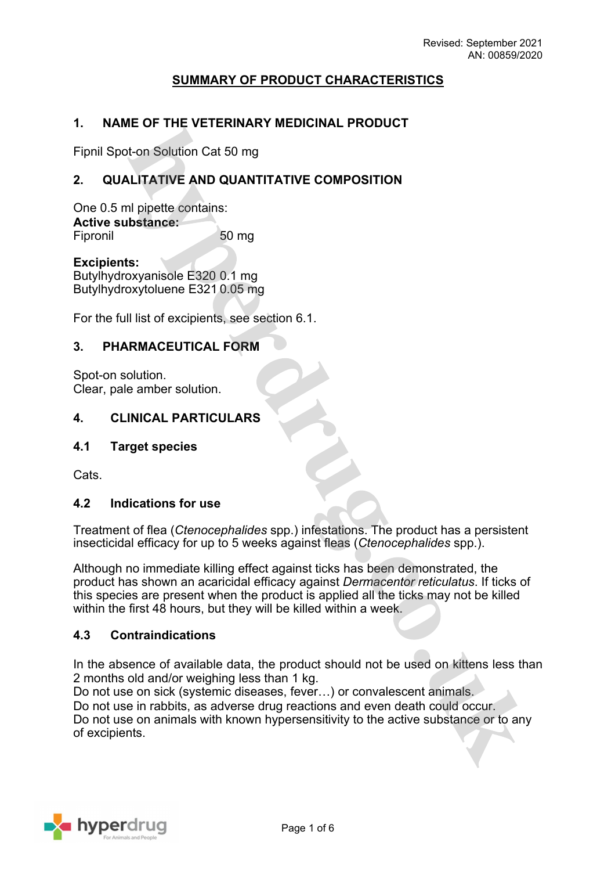# **SUMMARY OF PRODUCT CHARACTERISTICS**

## **1. NAME OF THE VETERINARY MEDICINAL PRODUCT**

Fipnil Spot-on Solution Cat 50 mg

## **2. QUALITATIVE AND QUANTITATIVE COMPOSITION**

One 0.5 ml pipette contains: **Active substance:** Fipronil 50 mg

**Excipients:** Butylhydroxyanisole E320 0.1 mg Butylhydroxytoluene E321 0.05 mg

For the full list of excipients, see section 6.1.

### **3. PHARMACEUTICAL FORM**

Spot-on solution. Clear, pale amber solution.

#### **4. CLINICAL PARTICULARS**

#### **4.1 Target species**

Cats.

#### **4.2 Indications for use**

Treatment of flea (*Ctenocephalides* spp.) infestations. The product has a persistent insecticidal efficacy for up to 5 weeks against fleas (*Ctenocephalides* spp.).

Although no immediate killing effect against ticks has been demonstrated, the product has shown an acaricidal efficacy against *Dermacentor reticulatus*. If ticks of this species are present when the product is applied all the ticks may not be killed within the first 48 hours, but they will be killed within a week.

#### **4.3 Contraindications**

In the absence of available data, the product should not be used on kittens less than 2 months old and/or weighing less than 1 kg.

Do not use on sick (systemic diseases, fever…) or convalescent animals. Do not use in rabbits, as adverse drug reactions and even death could occur. Do not use on animals with known hypersensitivity to the active substance or to any of excipients.

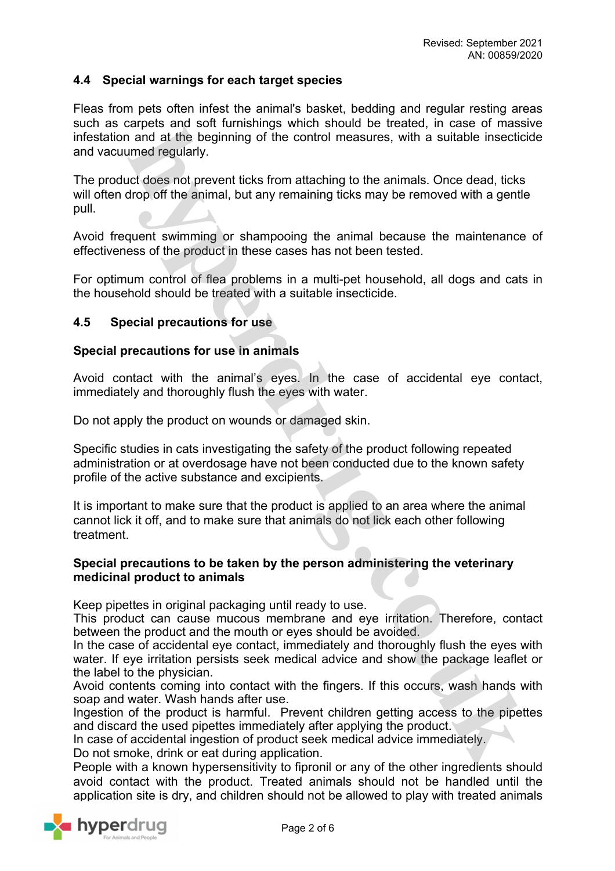## **4.4 Special warnings for each target species**

Fleas from pets often infest the animal's basket, bedding and regular resting areas such as carpets and soft furnishings which should be treated, in case of massive infestation and at the beginning of the control measures, with a suitable insecticide and vacuumed regularly.

The product does not prevent ticks from attaching to the animals. Once dead, ticks will often drop off the animal, but any remaining ticks may be removed with a gentle pull.

Avoid frequent swimming or shampooing the animal because the maintenance of effectiveness of the product in these cases has not been tested.

For optimum control of flea problems in a multi-pet household, all dogs and cats in the household should be treated with a suitable insecticide.

#### **4.5 Special precautions for use**

#### **Special precautions for use in animals**

Avoid contact with the animal's eyes. In the case of accidental eye contact, immediately and thoroughly flush the eyes with water.

Do not apply the product on wounds or damaged skin.

Specific studies in cats investigating the safety of the product following repeated administration or at overdosage have not been conducted due to the known safety profile of the active substance and excipients.

It is important to make sure that the product is applied to an area where the animal cannot lick it off, and to make sure that animals do not lick each other following treatment.

#### **Special precautions to be taken by the person administering the veterinary medicinal product to animals**

Keep pipettes in original packaging until ready to use.

This product can cause mucous membrane and eye irritation. Therefore, contact between the product and the mouth or eyes should be avoided.

In the case of accidental eye contact, immediately and thoroughly flush the eyes with water. If eye irritation persists seek medical advice and show the package leaflet or the label to the physician.

Avoid contents coming into contact with the fingers. If this occurs, wash hands with soap and water. Wash hands after use.

Ingestion of the product is harmful. Prevent children getting access to the pipettes and discard the used pipettes immediately after applying the product.

In case of accidental ingestion of product seek medical advice immediately.

Do not smoke, drink or eat during application.

People with a known hypersensitivity to fipronil or any of the other ingredients should avoid contact with the product. Treated animals should not be handled until the application site is dry, and children should not be allowed to play with treated animals

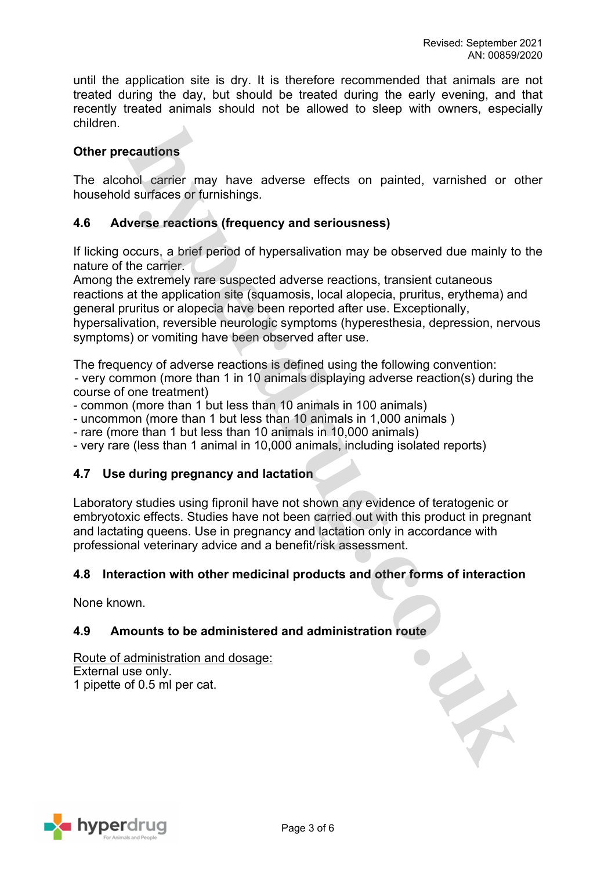until the application site is dry. It is therefore recommended that animals are not treated during the day, but should be treated during the early evening, and that recently treated animals should not be allowed to sleep with owners, especially children.

# **Other precautions**

The alcohol carrier may have adverse effects on painted, varnished or other household surfaces or furnishings.

# **4.6 Adverse reactions (frequency and seriousness)**

If licking occurs, a brief period of hypersalivation may be observed due mainly to the nature of the carrier.

Among the extremely rare suspected adverse reactions, transient cutaneous reactions at the application site (squamosis, local alopecia, pruritus, erythema) and general pruritus or alopecia have been reported after use. Exceptionally, hypersalivation, reversible neurologic symptoms (hyperesthesia, depression, nervous symptoms) or vomiting have been observed after use.

The frequency of adverse reactions is defined using the following convention: - very common (more than 1 in 10 animals displaying adverse reaction(s) during the course of one treatment)

- common (more than 1 but less than 10 animals in 100 animals)
- uncommon (more than 1 but less than 10 animals in 1,000 animals )
- rare (more than 1 but less than 10 animals in 10,000 animals)
- very rare (less than 1 animal in 10,000 animals, including isolated reports)

## **4.7 Use during pregnancy and lactation**

Laboratory studies using fipronil have not shown any evidence of teratogenic or embryotoxic effects. Studies have not been carried out with this product in pregnant and lactating queens. Use in pregnancy and lactation only in accordance with professional veterinary advice and a benefit/risk assessment.

## **4.8 Interaction with other medicinal products and other forms of interaction**

None known.

## **4.9 Amounts to be administered and administration route**

Route of administration and dosage: External use only. 1 pipette of 0.5 ml per cat.

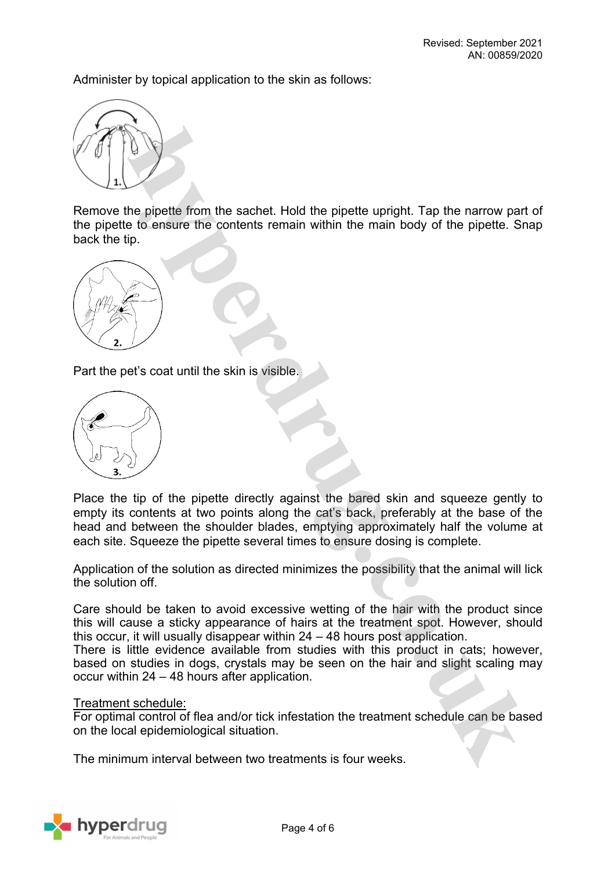Administer by topical application to the skin as follows:



Remove the pipette from the sachet. Hold the pipette upright. Tap the narrow part of the pipette to ensure the contents remain within the main body of the pipette. Snap back the tip.



Part the pet's coat until the skin is visible.



Place the tip of the pipette directly against the bared skin and squeeze gently to empty its contents at two points along the cat's back, preferably at the base of the head and between the shoulder blades, emptying approximately half the volume at each site. Squeeze the pipette several times to ensure dosing is complete.

Application of the solution as directed minimizes the possibility that the animal will lick the solution off.

Care should be taken to avoid excessive wetting of the hair with the product since this will cause a sticky appearance of hairs at the treatment spot. However, should this occur, it will usually disappear within 24 – 48 hours post application.

There is little evidence available from studies with this product in cats; however, based on studies in dogs, crystals may be seen on the hair and slight scaling may occur within 24 – 48 hours after application.

#### Treatment schedule:

For optimal control of flea and/or tick infestation the treatment schedule can be based on the local epidemiological situation.

The minimum interval between two treatments is four weeks.

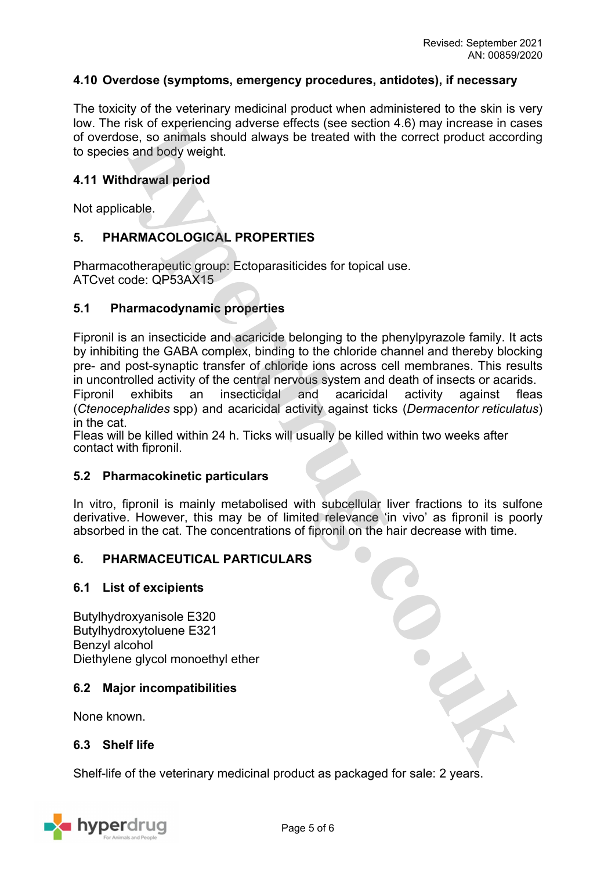## **4.10 Overdose (symptoms, emergency procedures, antidotes), if necessary**

The toxicity of the veterinary medicinal product when administered to the skin is very low. The risk of experiencing adverse effects (see section 4.6) may increase in cases of overdose, so animals should always be treated with the correct product according to species and body weight.

### **4.11 Withdrawal period**

Not applicable.

# **5. PHARMACOLOGICAL PROPERTIES**

Pharmacotherapeutic group: Ectoparasiticides for topical use. ATCvet code: QP53AX15

#### **5.1 Pharmacodynamic properties**

Fipronil is an insecticide and acaricide belonging to the phenylpyrazole family. It acts by inhibiting the GABA complex, binding to the chloride channel and thereby blocking pre- and post-synaptic transfer of chloride ions across cell membranes. This results in uncontrolled activity of the central nervous system and death of insects or acarids. Fipronil exhibits an insecticidal and acaricidal activity against fleas (*Ctenocephalides* spp) and acaricidal activity against ticks (*Dermacentor reticulatus*) in the cat.

Fleas will be killed within 24 h. Ticks will usually be killed within two weeks after contact with fipronil.

#### **5.2 Pharmacokinetic particulars**

In vitro, fipronil is mainly metabolised with subcellular liver fractions to its sulfone derivative. However, this may be of limited relevance 'in vivo' as fipronil is poorly absorbed in the cat. The concentrations of fipronil on the hair decrease with time.

#### **6. PHARMACEUTICAL PARTICULARS**

#### **6.1 List of excipients**

Butylhydroxyanisole E320 Butylhydroxytoluene E321 Benzyl alcohol Diethylene glycol monoethyl ether

#### **6.2 Major incompatibilities**

None known.

#### **6.3 Shelf life**

Shelf-life of the veterinary medicinal product as packaged for sale: 2 years.